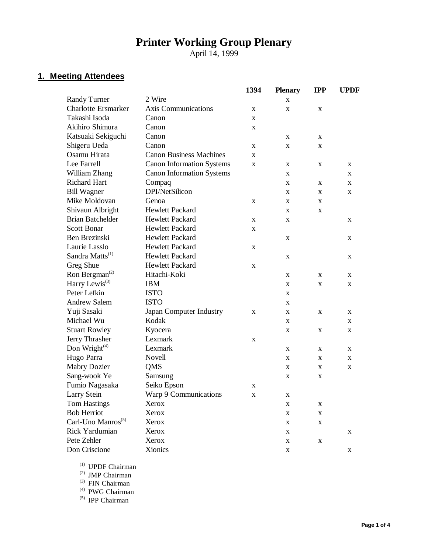# **Printer Working Group Plenary**

April 14, 1999

## **1. Meeting Attendees**

|                                |                                  | 1394        | <b>Plenary</b> | <b>IPP</b>   | <b>UPDF</b> |
|--------------------------------|----------------------------------|-------------|----------------|--------------|-------------|
| <b>Randy Turner</b>            | 2 Wire                           |             | X              |              |             |
| <b>Charlotte Ersmarker</b>     | <b>Axis Communications</b>       | X           | X              | X            |             |
| Takashi Isoda                  | Canon                            | X           |                |              |             |
| Akihiro Shimura                | Canon                            | $\mathbf X$ |                |              |             |
| Katsuaki Sekiguchi             | Canon                            |             | X              | X            |             |
| Shigeru Ueda                   | Canon                            | X           | X              | X            |             |
| Osamu Hirata                   | <b>Canon Business Machines</b>   | X           |                |              |             |
| Lee Farrell                    | <b>Canon Information Systems</b> | X           | X              | X            | X           |
| William Zhang                  | <b>Canon Information Systems</b> |             | X              |              | X           |
| <b>Richard Hart</b>            | Compaq                           |             | X              | X            | X           |
| <b>Bill Wagner</b>             | DPI/NetSilicon                   |             | X              | X            | X           |
| Mike Moldovan                  | Genoa                            | X           | X              | X            |             |
| Shivaun Albright               | Hewlett Packard                  |             | X              | X            |             |
| <b>Brian Batchelder</b>        | Hewlett Packard                  | X           | X              |              | X           |
| <b>Scott Bonar</b>             | Hewlett Packard                  | X           |                |              |             |
| Ben Brezinski                  | <b>Hewlett Packard</b>           |             | X              |              | X           |
| Laurie Lasslo                  | Hewlett Packard                  | X           |                |              |             |
| Sandra Matts <sup>(1)</sup>    | <b>Hewlett Packard</b>           |             | X              |              | X           |
| Greg Shue                      | Hewlett Packard                  | $\mathbf X$ |                |              |             |
| Ron Bergman <sup>(2)</sup>     | Hitachi-Koki                     |             | X              | $\mathbf{x}$ | X           |
| Harry Lewis <sup>(3)</sup>     | <b>IBM</b>                       |             | X              | X            | X           |
| Peter Lefkin                   | <b>ISTO</b>                      |             | X              |              |             |
| <b>Andrew Salem</b>            | <b>ISTO</b>                      |             | X              |              |             |
| Yuji Sasaki                    | Japan Computer Industry          | X           | X              | X            | X           |
| Michael Wu                     | Kodak                            |             | X              |              | X           |
| <b>Stuart Rowley</b>           | Kyocera                          |             | X              | X            | X           |
| Jerry Thrasher                 | Lexmark                          | X           |                |              |             |
| Don Wright $(4)$               | Lexmark                          |             | X              | X            | X           |
| Hugo Parra                     | Novell                           |             | X              | X            | X           |
| <b>Mabry Dozier</b>            | QMS                              |             | X              | X            | X           |
| Sang-wook Ye                   | Samsung                          |             | X              | X            |             |
| Fumio Nagasaka                 | Seiko Epson                      | X           |                |              |             |
| Larry Stein                    | Warp 9 Communications            | X           | X              |              |             |
| <b>Tom Hastings</b>            | Xerox                            |             | X              | X            |             |
| <b>Bob Herriot</b>             | Xerox                            |             | $\mathbf X$    | $\mathbf X$  |             |
| Carl-Uno Manros <sup>(5)</sup> | Xerox                            |             | X              | X            |             |
| Rick Yardumian                 | Xerox                            |             | $\mathbf X$    |              | X           |
| Pete Zehler                    | Xerox                            |             | X              | $\mathbf X$  |             |
| Don Criscione                  | Xionics                          |             | X              |              | $\mathbf X$ |

(1) UPDF Chairman

(2) JMP Chairman

(3) FIN Chairman

(4) PWG Chairman

(5) IPP Chairman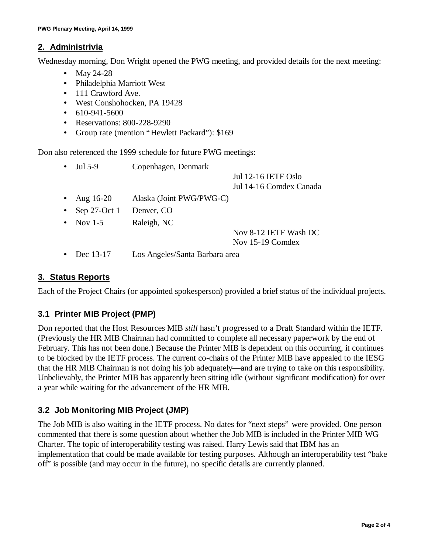### **2. Administrivia**

Wednesday morning, Don Wright opened the PWG meeting, and provided details for the next meeting:

- May 24-28
- Philadelphia Marriott West
- 111 Crawford Ave.
- West Conshohocken, PA 19428
- $\cdot$  610-941-5600
- Reservations: 800-228-9290
- Group rate (mention "Hewlett Packard"): \$169

Don also referenced the 1999 schedule for future PWG meetings:

| $\bullet$ | Jul 5-9           | Copenhagen, Denmark      |                            |
|-----------|-------------------|--------------------------|----------------------------|
|           |                   |                          | <b>Jul 12-16 IETF Oslo</b> |
|           |                   |                          | Jul 14-16 Comdex Canada    |
|           | • Aug $16-20$     | Alaska (Joint PWG/PWG-C) |                            |
|           | • Sep 27-Oct 1    | Denver, CO               |                            |
|           | $\bullet$ Nov 1-5 | Raleigh, NC              |                            |
|           |                   |                          | Nov 8-12 IETF Wash DC      |

Nov 15-19 Comdex

• Dec 13-17 Los Angeles/Santa Barbara area

#### **3. Status Reports**

Each of the Project Chairs (or appointed spokesperson) provided a brief status of the individual projects.

## **3.1 Printer MIB Project (PMP)**

Don reported that the Host Resources MIB *still* hasn't progressed to a Draft Standard within the IETF. (Previously the HR MIB Chairman had committed to complete all necessary paperwork by the end of February. This has not been done.) Because the Printer MIB is dependent on this occurring, it continues to be blocked by the IETF process. The current co-chairs of the Printer MIB have appealed to the IESG that the HR MIB Chairman is not doing his job adequately— and are trying to take on this responsibility. Unbelievably, the Printer MIB has apparently been sitting idle (without significant modification) for over a year while waiting for the advancement of the HR MIB.

## **3.2 Job Monitoring MIB Project (JMP)**

The Job MIB is also waiting in the IETF process. No dates for "next steps" were provided. One person commented that there is some question about whether the Job MIB is included in the Printer MIB WG Charter. The topic of interoperability testing was raised. Harry Lewis said that IBM has an implementation that could be made available for testing purposes. Although an interoperability test "bake off" is possible (and may occur in the future), no specific details are currently planned.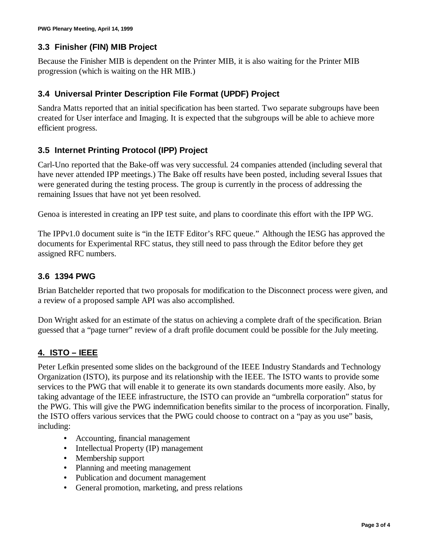## **3.3 Finisher (FIN) MIB Project**

Because the Finisher MIB is dependent on the Printer MIB, it is also waiting for the Printer MIB progression (which is waiting on the HR MIB.)

#### **3.4 Universal Printer Description File Format (UPDF) Project**

Sandra Matts reported that an initial specification has been started. Two separate subgroups have been created for User interface and Imaging. It is expected that the subgroups will be able to achieve more efficient progress.

### **3.5 Internet Printing Protocol (IPP) Project**

Carl-Uno reported that the Bake-off was very successful. 24 companies attended (including several that have never attended IPP meetings.) The Bake off results have been posted, including several Issues that were generated during the testing process. The group is currently in the process of addressing the remaining Issues that have not yet been resolved.

Genoa is interested in creating an IPP test suite, and plans to coordinate this effort with the IPP WG.

The IPPv1.0 document suite is "in the IETF Editor's RFC queue." Although the IESG has approved the documents for Experimental RFC status, they still need to pass through the Editor before they get assigned RFC numbers.

#### **3.6 1394 PWG**

Brian Batchelder reported that two proposals for modification to the Disconnect process were given, and a review of a proposed sample API was also accomplished.

Don Wright asked for an estimate of the status on achieving a complete draft of the specification. Brian guessed that a "page turner" review of a draft profile document could be possible for the July meeting.

## **4. ISTO – IEEE**

Peter Lefkin presented some slides on the background of the IEEE Industry Standards and Technology Organization (ISTO), its purpose and its relationship with the IEEE. The ISTO wants to provide some services to the PWG that will enable it to generate its own standards documents more easily. Also, by taking advantage of the IEEE infrastructure, the ISTO can provide an "umbrella corporation" status for the PWG. This will give the PWG indemnification benefits similar to the process of incorporation. Finally, the ISTO offers various services that the PWG could choose to contract on a "pay as you use" basis, including:

- Accounting, financial management
- Intellectual Property (IP) management
- Membership support
- Planning and meeting management
- Publication and document management
- General promotion, marketing, and press relations